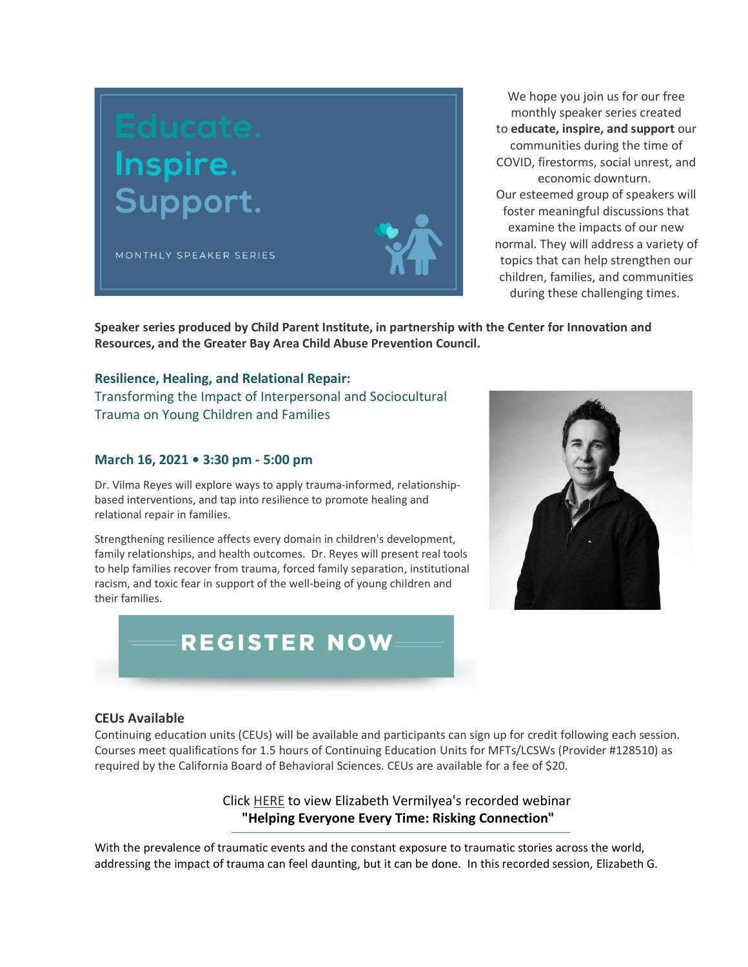

We hope you join us for our free monthly speaker series created to **educate, inspire, and support** our communities during the time of COVID, firestorms, social unrest, and economic downturn. Our esteemed group of speakers will foster meaningful discussions that examine the impacts of our new normal. They will address a variety of topics that can help strengthen our children, families, and communities during these challenging times.

**Speaker series produced by Child Parent Institute, in partnership with the Center for Innovation and Resources, and the Greater Bay Area Child Abuse Prevention Council.**

#### **Resilience, Healing, and Relational Repair:**

Transforming the Impact of Interpersonal and Sociocultural Trauma on Young Children and Families

#### **March 16, 2021 • 3:30 pm - 5:00 pm**

Dr. Vilma Reyes will explore ways to apply trauma-informed, relationshipbased interventions, and tap into resilience to promote healing and relational repair in families.

Strengthening resilience affects every domain in children's development, family relationships, and health outcomes. Dr. Reyes will present real tools to help families recover from trauma, forced family separation, institutional racism, and toxic fear in support of the well-being of young children and their families.

# **REGISTER NOW**

#### **CEUs Available**

Continuing education units (CEUs) will be available and participants can sign up for credit following each session. Courses meet qualifications for 1.5 hours of Continuing Education Units for MFTs/LCSWs (Provider #128510) as required by the California Board of Behavioral Sciences. CEUs are available for a fee of \$20.

> Click HERE to view Elizabeth Vermilyea's recorded webinar **"Helping Everyone Every Time: Risking Connection"**

With the prevalence of traumatic events and the constant exposure to traumatic stories across the world, addressing the impact of trauma can feel daunting, but it can be done. In this recorded session, Elizabeth G.